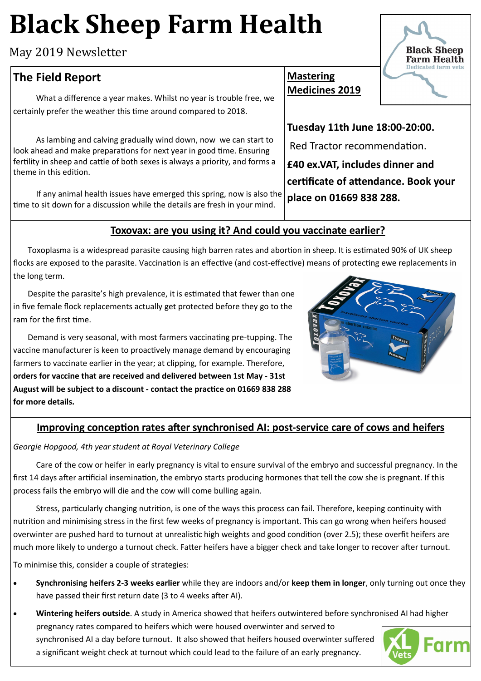# **Black Sheep Farm Health**

May 2019 Newsletter

## **The Field Report**

What a difference a year makes. Whilst no year is trouble free, we certainly prefer the weather this time around compared to 2018.

As lambing and calving gradually wind down, now we can start to look ahead and make preparations for next year in good time. Ensuring fertility in sheep and cattle of both sexes is always a priority, and forms a theme in this edition.

If any animal health issues have emerged this spring, now is also the time to sit down for a discussion while the details are fresh in your mind.

### **Mastering Medicines 2019**

**Tuesday 11th June 18:00-20:00.**

Red Tractor recommendation.

**£40 ex.VAT, includes dinner and certificate of attendance. Book your place on 01669 838 288.** 

#### **Toxovax: are you using it? And could you vaccinate earlier?**

Toxoplasma is a widespread parasite causing high barren rates and abortion in sheep. It is estimated 90% of UK sheep flocks are exposed to the parasite. Vaccination is an effective (and cost-effective) means of protecting ewe replacements in the long term.

Despite the parasite's high prevalence, it is estimated that fewer than one in five female flock replacements actually get protected before they go to the ram for the first time.

Demand is very seasonal, with most farmers vaccinating pre-tupping. The vaccine manufacturer is keen to proactively manage demand by encouraging farmers to vaccinate earlier in the year; at clipping, for example. Therefore, **orders for vaccine that are received and delivered between 1st May - 31st August will be subject to a discount - contact the practice on 01669 838 288 for more details.**



#### **Improving conception rates after synchronised AI: post-service care of cows and heifers**

*Georgie Hopgood, 4th year student at Royal Veterinary College*

Care of the cow or heifer in early pregnancy is vital to ensure survival of the embryo and successful pregnancy. In the first 14 days after artificial insemination, the embryo starts producing hormones that tell the cow she is pregnant. If this process fails the embryo will die and the cow will come bulling again.

Stress, particularly changing nutrition, is one of the ways this process can fail. Therefore, keeping continuity with nutrition and minimising stress in the first few weeks of pregnancy is important. This can go wrong when heifers housed overwinter are pushed hard to turnout at unrealistic high weights and good condition (over 2.5); these overfit heifers are much more likely to undergo a turnout check. Fatter heifers have a bigger check and take longer to recover after turnout.

To minimise this, consider a couple of strategies:

- **Synchronising heifers 2-3 weeks earlier** while they are indoors and/or **keep them in longer**, only turning out once they have passed their first return date (3 to 4 weeks after AI).
- **Wintering heifers outside**. A study in America showed that heifers outwintered before synchronised AI had higher pregnancy rates compared to heifers which were housed overwinter and served to synchronised AI a day before turnout. It also showed that heifers housed overwinter suffered a significant weight check at turnout which could lead to the failure of an early pregnancy.